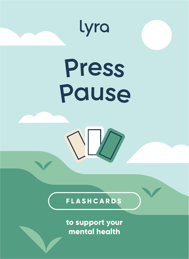

**to support your mental health**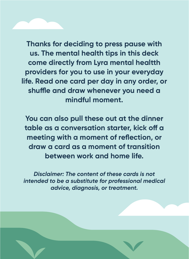**Thanks for deciding to press pause with us. The mental health tips in this deck come directly from Lyra mental healtth providers for you to use in your everyday life. Read one card per day in any order, or**  shuffle and draw whenever you need a **mindful moment.**

**You can also pull these out at the dinner**  table as a conversation starter, kick off a **meeting with a moment of reflection, or draw a card as a moment of transition between work and home life.**

*Disclaimer: The content of these cards is not intended to be a substitute for professional medical advice, diagnosis, or treatment.*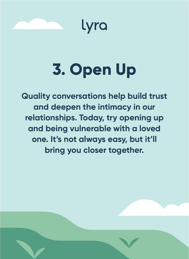



## **3. Open Up**

**Quality conversations help build trust and deepen the intimacy in our relationships. Today, try opening up and being vulnerable with a loved one. It's not always easy, but it'll bring you closer together.**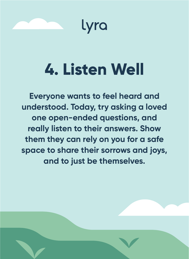

lyra

### **4. Listen Well**

**Everyone wants to feel heard and understood. Today, try asking a loved one open-ended questions, and really listen to their answers. Show them they can rely on you for a safe space to share their sorrows and joys, and to just be themselves.**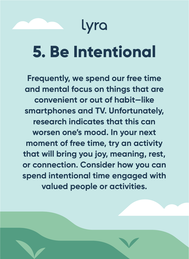#### Lyra

#### **5. Be Intentional**

**Frequently, we spend our free time and mental focus on things that are convenient or out of habit—like smartphones and TV. Unfortunately, research indicates that this can worsen one's mood. In your next moment of free time, try an activity that will bring you joy, meaning, rest, or connection. Consider how you can spend intentional time engaged with valued people or activities.**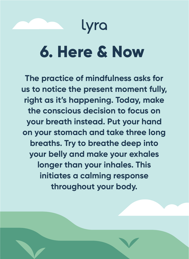#### Lyra

#### **6. Here & Now**

**The practice of mindfulness asks for us to notice the present moment fully, right as it's happening. Today, make the conscious decision to focus on your breath instead. Put your hand on your stomach and take three long breaths. Try to breathe deep into your belly and make your exhales longer than your inhales. This initiates a calming response throughout your body.**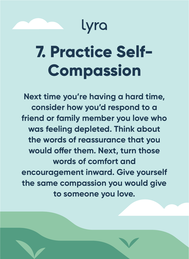#### lyra

## **7. Practice Self-Compassion**

**Next time you're having a hard time, consider how you'd respond to a friend or family member you love who was feeling depleted. Think about the words of reassurance that you**  would offer them. Next, turn those **words of comfort and encouragement inward. Give yourself the same compassion you would give to someone you love.**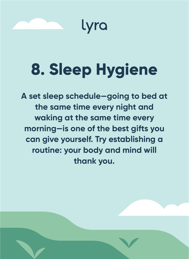

## **8. Sleep Hygiene**

**A set sleep schedule—going to bed at the same time every night and waking at the same time every morning—is one of the best gifts you can give yourself. Try establishing a routine: your body and mind will thank you.**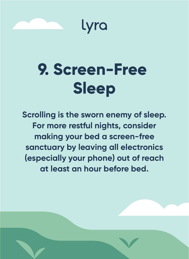

Lyra

### **9. Screen-Free Sleep**

**Scrolling is the sworn enemy of sleep. For more restful nights, consider making your bed a screen-free sanctuary by leaving all electronics (especially your phone) out of reach at least an hour before bed.**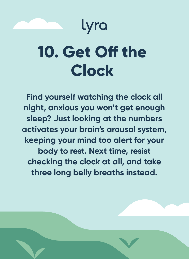#### Lyra

## **10. Get Off the Clock**

**Find yourself watching the clock all night, anxious you won't get enough sleep? Just looking at the numbers activates your brain's arousal system, keeping your mind too alert for your body to rest. Next time, resist checking the clock at all, and take three long belly breaths instead.**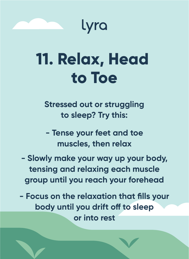

Lyra

#### **11. Relax, Head to Toe**

**Stressed out or struggling to sleep? Try this:** 

**- Tense your feet and toe muscles, then relax**

**- Slowly make your way up your body, tensing and relaxing each muscle group until you reach your forehead**

**- Focus on the relaxation that fills your body until you drift off to sleep or into rest**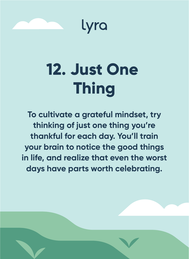



## **12. Just One Thing**

**To cultivate a grateful mindset, try thinking of just one thing you're thankful for each day. You'll train your brain to notice the good things in life, and realize that even the worst days have parts worth celebrating.**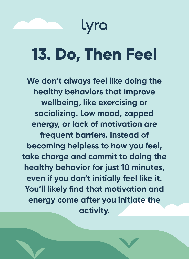#### lyra

## **13. Do, Then Feel**

**We don't always feel like doing the healthy behaviors that improve wellbeing, like exercising or socializing. Low mood, zapped energy, or lack of motivation are frequent barriers. Instead of becoming helpless to how you feel, take charge and commit to doing the healthy behavior for just 10 minutes, even if you don't initially feel like it. You'll likely find that motivation and energy come after you initiate the activity.**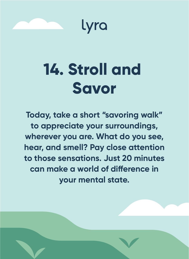

lyra

### **14. Stroll and Savor**

**Today, take a short "savoring walk" to appreciate your surroundings, wherever you are. What do you see, hear, and smell? Pay close attention to those sensations. Just 20 minutes**  can make a world of difference in **your mental state.**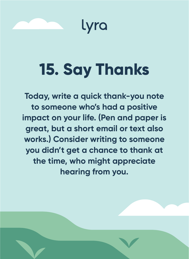

lyra

## **15. Say Thanks**

**Today, write a quick thank-you note to someone who's had a positive impact on your life. (Pen and paper is great, but a short email or text also works.) Consider writing to someone you didn't get a chance to thank at the time, who might appreciate hearing from you.**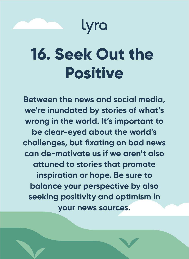

### **16. Seek Out the Positive**

**Between the news and social media, we're inundated by stories of what's wrong in the world. It's important to be clear-eyed about the world's challenges, but fixating on bad news can de-motivate us if we aren't also attuned to stories that promote inspiration or hope. Be sure to balance your perspective by also seeking positivity and optimism in your news sources.**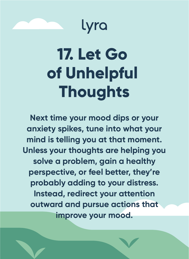



## **17. Let Go of Unhelpful Thoughts**

**Next time your mood dips or your anxiety spikes, tune into what your mind is telling you at that moment. Unless your thoughts are helping you solve a problem, gain a healthy perspective, or feel better, they're probably adding to your distress. Instead, redirect your attention outward and pursue actions that improve your mood.**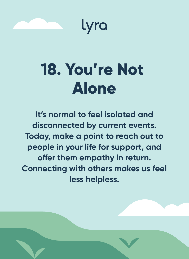

lyra

### **18. You're Not Alone**

**It's normal to feel isolated and disconnected by current events. Today, make a point to reach out to people in your life for support, and**  offer them empathy in return. **Connecting with others makes us feel less helpless.**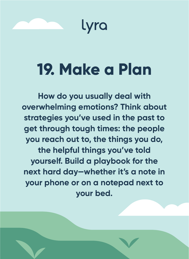

### **19. Make a Plan**

**How do you usually deal with overwhelming emotions? Think about strategies you've used in the past to get through tough times: the people you reach out to, the things you do, the helpful things you've told yourself. Build a playbook for the next hard day—whether it's a note in your phone or on a notepad next to your bed.**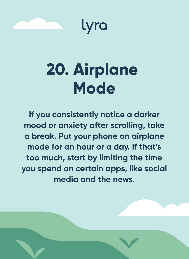

lyra

## **20. Airplane Mode**

**If you consistently notice a darker mood or anxiety after scrolling, take a break. Put your phone on airplane mode for an hour or a day. If that's too much, start by limiting the time you spend on certain apps, like social media and the news.**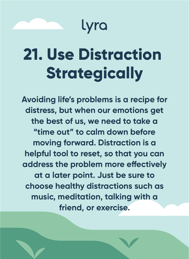

## **21. Use Distraction Strategically**

**Avoiding life's problems is a recipe for distress, but when our emotions get the best of us, we need to take a "time out" to calm down before moving forward. Distraction is a helpful tool to reset, so that you can**  address the problem more effectively **at a later point. Just be sure to choose healthy distractions such as music, meditation, talking with a friend, or exercise.**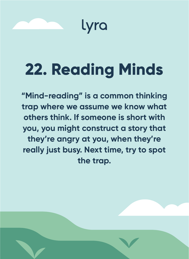

## **22. Reading Minds**

**"Mind-reading" is a common thinking trap where we assume we know what others think. If someone is short with you, you might construct a story that they're angry at you, when they're really just busy. Next time, try to spot the trap.**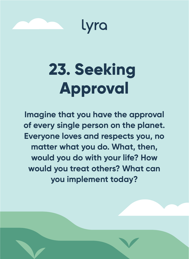

Lyra

## **23. Seeking Approval**

**Imagine that you have the approval of every single person on the planet. Everyone loves and respects you, no matter what you do. What, then, would you do with your life? How would you treat others? What can you implement today?**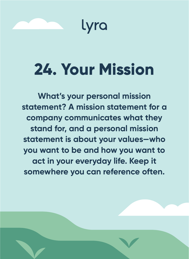

## **24. Your Mission**

**What's your personal mission statement? A mission statement for a company communicates what they stand for, and a personal mission statement is about your values—who you want to be and how you want to act in your everyday life. Keep it somewhere you can reference often.**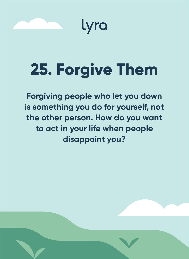

Lyra

## **25. Forgive Them**

**Forgiving people who let you down is something you do for yourself, not the other person. How do you want to act in your life when people disappoint you?**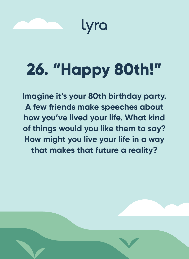

## **26. "Happy 80th!"**

**Imagine it's your 80th birthday party. A few friends make speeches about how you've lived your life. What kind of things would you like them to say? How might you live your life in a way that makes that future a reality?**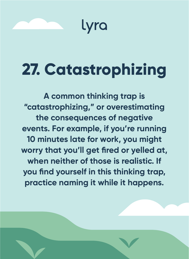

#### **27. Catastrophizing**

**A common thinking trap is "catastrophizing," or overestimating the consequences of negative events. For example, if you're running 10 minutes late for work, you might worry that you'll get fired or yelled at, when neither of those is realistic. If you find yourself in this thinking trap, practice naming it while it happens.**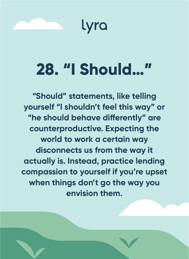

lyra

#### **28. "I Should…"**

**"Should" statements, like telling yourself "I shouldn't feel this way" or**  "he should behave differently" are **counterproductive. Expecting the world to work a certain way disconnects us from the way it actually is. Instead, practice lending compassion to yourself if you're upset when things don't go the way you envision them.**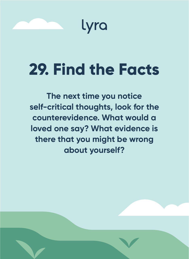

Lyra

## **29. Find the Facts**

**The next time you notice self-critical thoughts, look for the counterevidence. What would a loved one say? What evidence is there that you might be wrong about yourself?**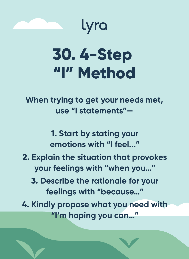

## **30. 4-Step "I" Method**

lyra

**When trying to get your needs met, use "I statements"—**

> **1. Start by stating your emotions with "I feel..."**

- **2. Explain the situation that provokes your feelings with "when you…"**
	- **3. Describe the rationale for your feelings with "because…"**

**4. Kindly propose what you need with "I'm hoping you can…"**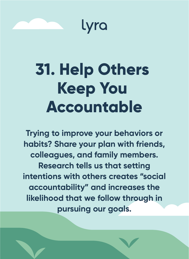

Lyra

## **31. Help Others Keep You Accountable**

**Trying to improve your behaviors or habits? Share your plan with friends, colleagues, and family members. Research tells us that setting intentions with others creates "social accountability" and increases the likelihood that we follow through in pursuing our goals.**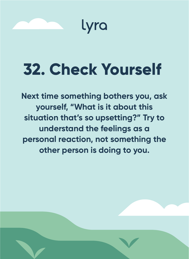

## **32. Check Yourself**

**Next time something bothers you, ask yourself, "What is it about this situation that's so upsetting?" Try to understand the feelings as a personal reaction, not something the other person is doing to you.**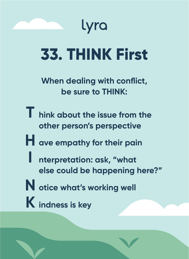

## **33. THINK First**

**When dealing with conflict, be sure to THINK:** 

- **T hink about the issue from the other person's perspective**
- **H ave empathy for their pain**
- **I nterpretation: ask, "what else could be happening here?"**
- **N otice what's working well**
- **K indness is key**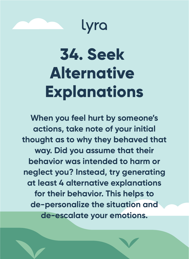

Lyra

## **34. Seek Alternative Explanations**

**When you feel hurt by someone's actions, take note of your initial thought as to why they behaved that way. Did you assume that their behavior was intended to harm or neglect you? Instead, try generating at least 4 alternative explanations for their behavior. This helps to de-personalize the situation and de-escalate your emotions.**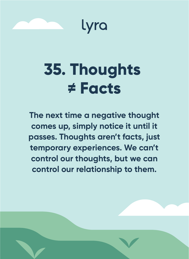

Lyra

#### **35. Thoughts ≠ Facts**

**The next time a negative thought comes up, simply notice it until it passes. Thoughts aren't facts, just temporary experiences. We can't control our thoughts, but we can control our relationship to them.**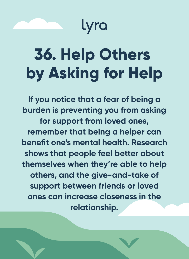

## **36. Help Others by Asking for Help**

**If you notice that a fear of being a burden is preventing you from asking for support from loved ones, remember that being a helper can benefit one's mental health. Research shows that people feel better about themselves when they're able to help others, and the give-and-take of support between friends or loved ones can increase closeness in the relationship.**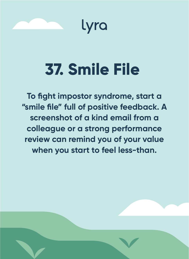

Lyra

## **37. Smile File**

**To fight impostor syndrome, start a "smile file" full of positive feedback. A screenshot of a kind email from a colleague or a strong performance review can remind you of your value when you start to feel less-than.**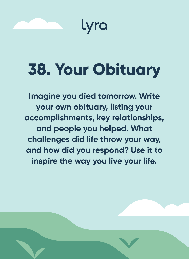

## **38. Your Obituary**

**Imagine you died tomorrow. Write your own obituary, listing your accomplishments, key relationships, and people you helped. What challenges did life throw your way, and how did you respond? Use it to inspire the way you live your life.**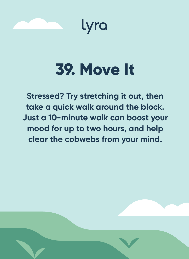



### **39. Move It**

**Stressed? Try stretching it out, then take a quick walk around the block. Just a 10-minute walk can boost your mood for up to two hours, and help clear the cobwebs from your mind.**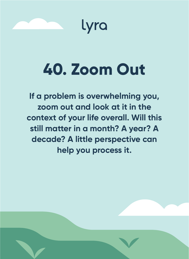

Lyra

## **40. Zoom Out**

**If a problem is overwhelming you, zoom out and look at it in the context of your life overall. Will this still matter in a month? A year? A decade? A little perspective can help you process it.**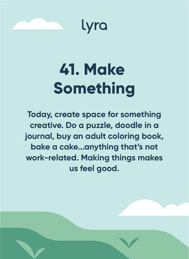



## **41. Make Something**

**Today, create space for something creative. Do a puzzle, doodle in a journal, buy an adult coloring book, bake a cake...anything that's not work-related. Making things makes us feel good.**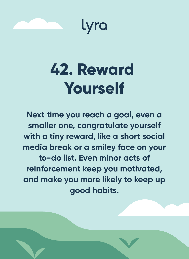

lyra

#### **42. Reward Yourself**

**Next time you reach a goal, even a smaller one, congratulate yourself with a tiny reward, like a short social media break or a smiley face on your to-do list. Even minor acts of reinforcement keep you motivated, and make you more likely to keep up good habits.**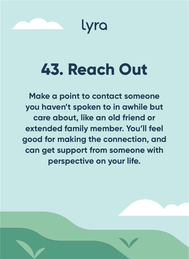

lyra

### **43. Reach Out**

**Make a point to contact someone you haven't spoken to in awhile but care about, like an old friend or extended family member. You'll feel good for making the connection, and can get support from someone with perspective on your life.**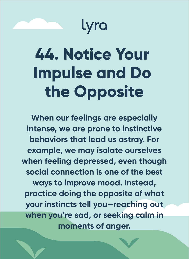#### Lyra

## **44. Notice Your Impulse and Do the Opposite**

**When our feelings are especially intense, we are prone to instinctive behaviors that lead us astray. For example, we may isolate ourselves when feeling depressed, even though social connection is one of the best ways to improve mood. Instead, practice doing the opposite of what your instincts tell you—reaching out when you're sad, or seeking calm in moments of anger.**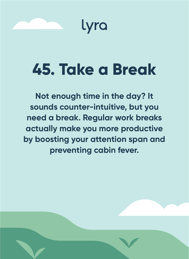

Lyra

#### **45. Take a Break**

**Not enough time in the day? It sounds counter-intuitive, but you need a break. Regular work breaks actually make you more productive by boosting your attention span and preventing cabin fever.**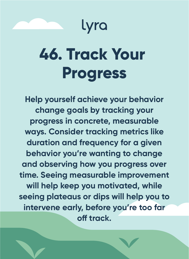

## **46. Track Your Progress**

**Help yourself achieve your behavior change goals by tracking your progress in concrete, measurable ways. Consider tracking metrics like duration and frequency for a given behavior you're wanting to change and observing how you progress over time. Seeing measurable improvement will help keep you motivated, while seeing plateaus or dips will help you to intervene early, before you're too far o track.**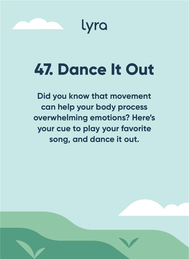



### **47. Dance It Out**

**Did you know that movement can help your body process overwhelming emotions? Here's your cue to play your favorite song, and dance it out.**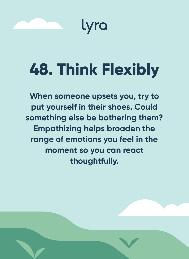



# **48. Think Flexibly**

**When someone upsets you, try to put yourself in their shoes. Could something else be bothering them? Empathizing helps broaden the range of emotions you feel in the moment so you can react thoughtfully.**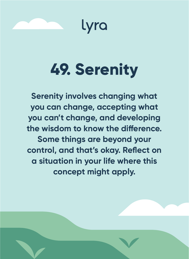

lyra

### **49. Serenity**

**Serenity involves changing what you can change, accepting what you can't change, and developing**  the wisdom to know the difference. **Some things are beyond your control, and that's okay. Reflect on a situation in your life where this concept might apply.**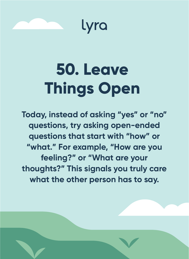



## **50. Leave Things Open**

**Today, instead of asking "yes" or "no" questions, try asking open-ended questions that start with "how" or "what." For example, "How are you feeling?" or "What are your thoughts?" This signals you truly care what the other person has to say.**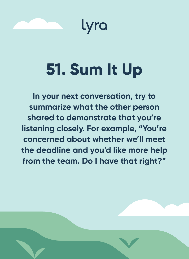

lyra

## **51. Sum It Up**

**In your next conversation, try to summarize what the other person shared to demonstrate that you're listening closely. For example, "You're concerned about whether we'll meet the deadline and you'd like more help from the team. Do I have that right?"**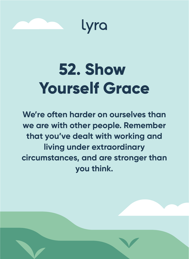

lyra

#### **52. Show Yourself Grace**

**We're often harder on ourselves than we are with other people. Remember that you've dealt with working and living under extraordinary circumstances, and are stronger than you think.**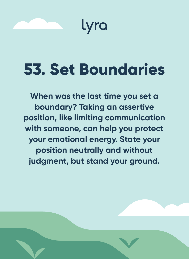

#### **53. Set Boundaries**

**When was the last time you set a boundary? Taking an assertive position, like limiting communication with someone, can help you protect your emotional energy. State your position neutrally and without judgment, but stand your ground.**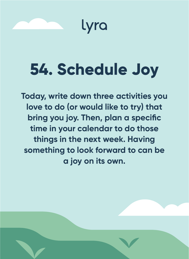

lyra

## **54. Schedule Joy**

**Today, write down three activities you love to do (or would like to try) that bring you joy. Then, plan a specific time in your calendar to do those things in the next week. Having something to look forward to can be a joy on its own.**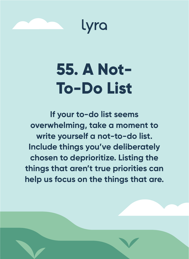



### **55. A Not-To-Do List**

**If your to-do list seems overwhelming, take a moment to write yourself a not-to-do list. Include things you've deliberately chosen to deprioritize. Listing the things that aren't true priorities can help us focus on the things that are.**